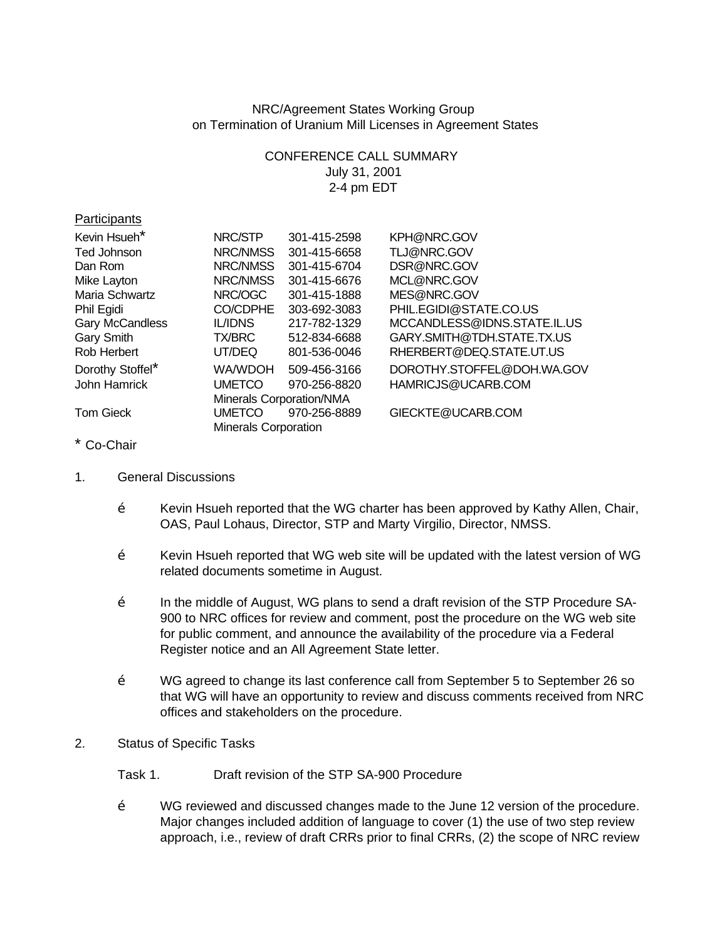NRC/Agreement States Working Group on Termination of Uranium Mill Licenses in Agreement States

> CONFERENCE CALL SUMMARY July 31, 2001 2-4 pm EDT

| , annopano       |                             |              |                             |
|------------------|-----------------------------|--------------|-----------------------------|
| Kevin Hsueh*     | NRC/STP                     | 301-415-2598 | KPH@NRC.GOV                 |
| Ted Johnson      | NRC/NMSS                    | 301-415-6658 | TLJ@NRC.GOV                 |
| Dan Rom          | NRC/NMSS                    | 301-415-6704 | DSR@NRC.GOV                 |
| Mike Layton      | NRC/NMSS                    | 301-415-6676 | MCL@NRC.GOV                 |
| Maria Schwartz   | NRC/OGC                     | 301-415-1888 | MES@NRC.GOV                 |
| Phil Egidi       | CO/CDPHE                    | 303-692-3083 | PHIL.EGIDI@STATE.CO.US      |
| Gary McCandless  | <b>IL/IDNS</b>              | 217-782-1329 | MCCANDLESS@IDNS.STATE.IL.US |
| Gary Smith       | <b>TX/BRC</b>               | 512-834-6688 | GARY.SMITH@TDH.STATE.TX.US  |
| Rob Herbert      | UT/DEQ                      | 801-536-0046 | RHERBERT@DEQ.STATE.UT.US    |
| Dorothy Stoffel* | WA/WDOH                     | 509-456-3166 | DOROTHY.STOFFEL@DOH.WA.GOV  |
| John Hamrick     | <b>UMETCO</b>               | 970-256-8820 | HAMRICJS@UCARB.COM          |
|                  | Minerals Corporation/NMA    |              |                             |
| <b>Tom Gieck</b> | <b>UMETCO</b>               | 970-256-8889 | GIECKTE@UCARB.COM           |
|                  | <b>Minerals Corporation</b> |              |                             |

## \* Co-Chair

**Particinants** 

- 1. General Discussions
	- Ž Kevin Hsueh reported that the WG charter has been approved by Kathy Allen, Chair, OAS, Paul Lohaus, Director, STP and Marty Virgilio, Director, NMSS.
	- $\check{Z}$  Kevin Hsueh reported that WG web site will be updated with the latest version of WG related documents sometime in August.
	- $\check{Z}$  In the middle of August, WG plans to send a draft revision of the STP Procedure SA-900 to NRC offices for review and comment, post the procedure on the WG web site for public comment, and announce the availability of the procedure via a Federal Register notice and an All Agreement State letter.
	- Ž WG agreed to change its last conference call from September 5 to September 26 so that WG will have an opportunity to review and discuss comments received from NRC offices and stakeholders on the procedure.
- 2. Status of Specific Tasks
	- Task 1. Draft revision of the STP SA-900 Procedure
	- Ž WG reviewed and discussed changes made to the June 12 version of the procedure. Major changes included addition of language to cover (1) the use of two step review approach, i.e., review of draft CRRs prior to final CRRs, (2) the scope of NRC review